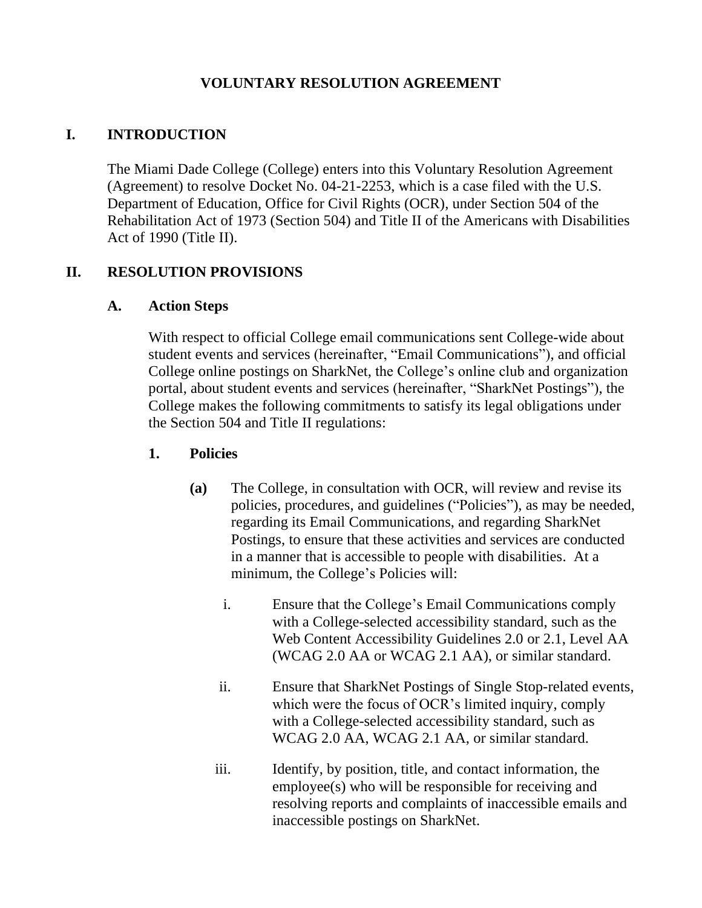## **VOLUNTARY RESOLUTION AGREEMENT**

## **I. INTRODUCTION**

The Miami Dade College (College) enters into this Voluntary Resolution Agreement (Agreement) to resolve Docket No. 04-21-2253, which is a case filed with the U.S. Department of Education, Office for Civil Rights (OCR), under Section 504 of the Rehabilitation Act of 1973 (Section 504) and Title II of the Americans with Disabilities Act of 1990 (Title II).

## **II. RESOLUTION PROVISIONS**

#### **A. Action Steps**

With respect to official College email communications sent College-wide about student events and services (hereinafter, "Email Communications"), and official College online postings on SharkNet, the College's online club and organization portal, about student events and services (hereinafter, "SharkNet Postings"), the College makes the following commitments to satisfy its legal obligations under the Section 504 and Title II regulations:

### **1. Policies**

- **(a)** The College, in consultation with OCR, will review and revise its policies, procedures, and guidelines ("Policies"), as may be needed, regarding its Email Communications, and regarding SharkNet Postings, to ensure that these activities and services are conducted in a manner that is accessible to people with disabilities. At a minimum, the College's Policies will:
	- i. Ensure that the College's Email Communications comply with a College-selected accessibility standard, such as the Web Content Accessibility Guidelines 2.0 or 2.1, Level AA (WCAG 2.0 AA or WCAG 2.1 AA), or similar standard.
	- ii. Ensure that SharkNet Postings of Single Stop-related events, which were the focus of OCR's limited inquiry, comply with a College-selected accessibility standard, such as WCAG 2.0 AA, WCAG 2.1 AA, or similar standard.
	- iii. Identify, by position, title, and contact information, the employee(s) who will be responsible for receiving and resolving reports and complaints of inaccessible emails and inaccessible postings on SharkNet.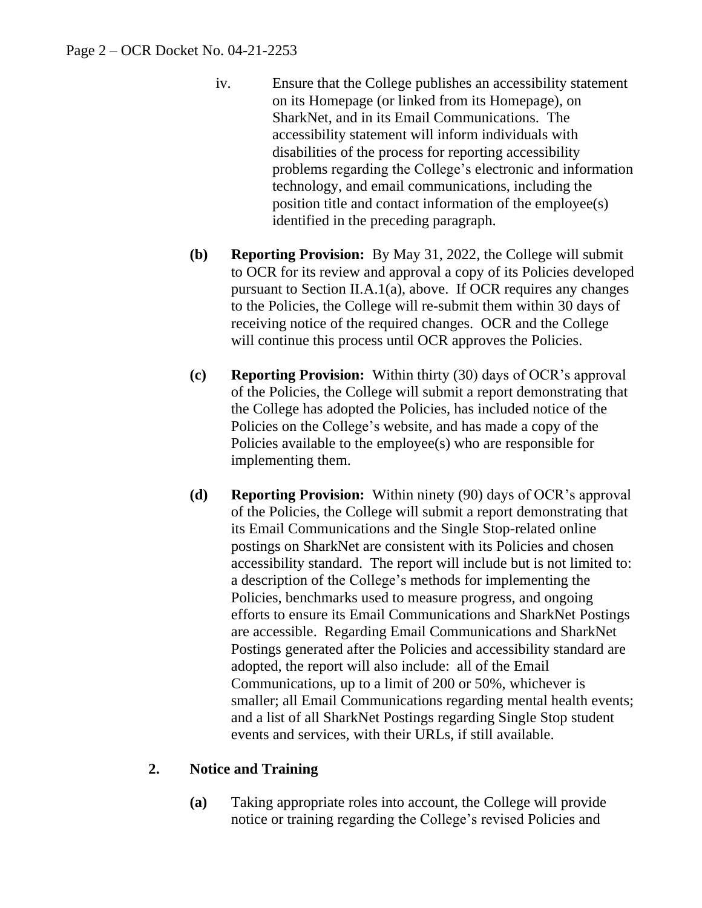- iv. Ensure that the College publishes an accessibility statement on its Homepage (or linked from its Homepage), on SharkNet, and in its Email Communications. The accessibility statement will inform individuals with disabilities of the process for reporting accessibility problems regarding the College's electronic and information technology, and email communications, including the position title and contact information of the employee(s) identified in the preceding paragraph.
- **(b) Reporting Provision:** By May 31, 2022, the College will submit to OCR for its review and approval a copy of its Policies developed pursuant to Section II.A.1(a), above. If OCR requires any changes to the Policies, the College will re-submit them within 30 days of receiving notice of the required changes. OCR and the College will continue this process until OCR approves the Policies.
- **(c) Reporting Provision:** Within thirty (30) days of OCR's approval of the Policies, the College will submit a report demonstrating that the College has adopted the Policies, has included notice of the Policies on the College's website, and has made a copy of the Policies available to the employee(s) who are responsible for implementing them.
- **(d) Reporting Provision:** Within ninety (90) days of OCR's approval of the Policies, the College will submit a report demonstrating that its Email Communications and the Single Stop-related online postings on SharkNet are consistent with its Policies and chosen accessibility standard. The report will include but is not limited to: a description of the College's methods for implementing the Policies, benchmarks used to measure progress, and ongoing efforts to ensure its Email Communications and SharkNet Postings are accessible. Regarding Email Communications and SharkNet Postings generated after the Policies and accessibility standard are adopted, the report will also include: all of the Email Communications, up to a limit of 200 or 50%, whichever is smaller; all Email Communications regarding mental health events; and a list of all SharkNet Postings regarding Single Stop student events and services, with their URLs, if still available.

# **2. Notice and Training**

**(a)** Taking appropriate roles into account, the College will provide notice or training regarding the College's revised Policies and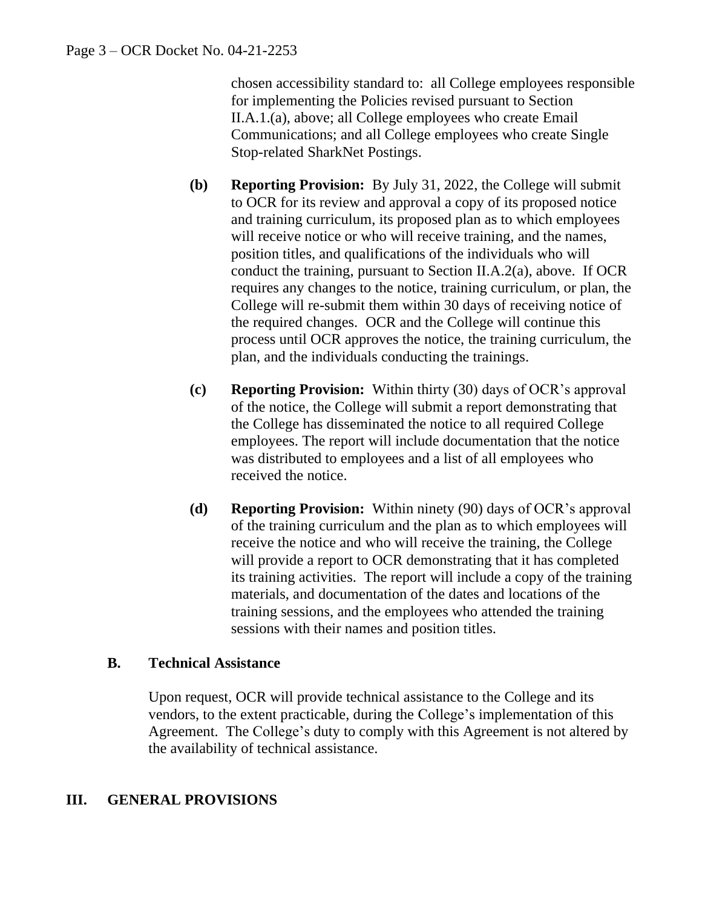chosen accessibility standard to: all College employees responsible for implementing the Policies revised pursuant to Section II.A.1.(a), above; all College employees who create Email Communications; and all College employees who create Single Stop-related SharkNet Postings.

- **(b) Reporting Provision:** By July 31, 2022, the College will submit to OCR for its review and approval a copy of its proposed notice and training curriculum, its proposed plan as to which employees will receive notice or who will receive training, and the names, position titles, and qualifications of the individuals who will conduct the training, pursuant to Section II.A.2(a), above. If OCR requires any changes to the notice, training curriculum, or plan, the College will re-submit them within 30 days of receiving notice of the required changes. OCR and the College will continue this process until OCR approves the notice, the training curriculum, the plan, and the individuals conducting the trainings.
- **(c) Reporting Provision:** Within thirty (30) days of OCR's approval of the notice, the College will submit a report demonstrating that the College has disseminated the notice to all required College employees. The report will include documentation that the notice was distributed to employees and a list of all employees who received the notice.
- **(d) Reporting Provision:** Within ninety (90) days of OCR's approval of the training curriculum and the plan as to which employees will receive the notice and who will receive the training, the College will provide a report to OCR demonstrating that it has completed its training activities. The report will include a copy of the training materials, and documentation of the dates and locations of the training sessions, and the employees who attended the training sessions with their names and position titles.

### **B. Technical Assistance**

Upon request, OCR will provide technical assistance to the College and its vendors, to the extent practicable, during the College's implementation of this Agreement. The College's duty to comply with this Agreement is not altered by the availability of technical assistance.

# **III. GENERAL PROVISIONS**